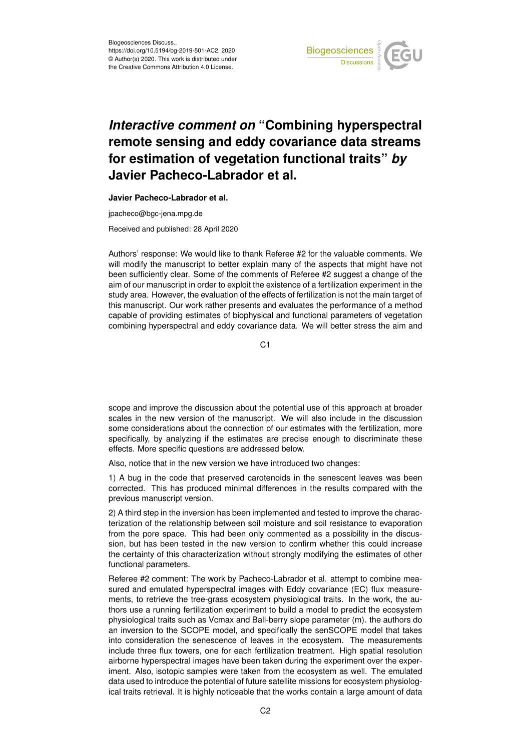

## *Interactive comment on* **"Combining hyperspectral remote sensing and eddy covariance data streams for estimation of vegetation functional traits"** *by* **Javier Pacheco-Labrador et al.**

**Javier Pacheco-Labrador et al.**

jpacheco@bgc-jena.mpg.de

Received and published: 28 April 2020

Authors' response: We would like to thank Referee #2 for the valuable comments. We will modify the manuscript to better explain many of the aspects that might have not been sufficiently clear. Some of the comments of Referee #2 suggest a change of the aim of our manuscript in order to exploit the existence of a fertilization experiment in the study area. However, the evaluation of the effects of fertilization is not the main target of this manuscript. Our work rather presents and evaluates the performance of a method capable of providing estimates of biophysical and functional parameters of vegetation combining hyperspectral and eddy covariance data. We will better stress the aim and

C1

scope and improve the discussion about the potential use of this approach at broader scales in the new version of the manuscript. We will also include in the discussion some considerations about the connection of our estimates with the fertilization, more specifically, by analyzing if the estimates are precise enough to discriminate these effects. More specific questions are addressed below.

Also, notice that in the new version we have introduced two changes:

1) A bug in the code that preserved carotenoids in the senescent leaves was been corrected. This has produced minimal differences in the results compared with the previous manuscript version.

2) A third step in the inversion has been implemented and tested to improve the characterization of the relationship between soil moisture and soil resistance to evaporation from the pore space. This had been only commented as a possibility in the discussion, but has been tested in the new version to confirm whether this could increase the certainty of this characterization without strongly modifying the estimates of other functional parameters.

Referee #2 comment: The work by Pacheco-Labrador et al. attempt to combine measured and emulated hyperspectral images with Eddy covariance (EC) flux measurements, to retrieve the tree-grass ecosystem physiological traits. In the work, the authors use a running fertilization experiment to build a model to predict the ecosystem physiological traits such as Vcmax and Ball-berry slope parameter (m). the authors do an inversion to the SCOPE model, and specifically the senSCOPE model that takes into consideration the senescence of leaves in the ecosystem. The measurements include three flux towers, one for each fertilization treatment. High spatial resolution airborne hyperspectral images have been taken during the experiment over the experiment. Also, isotopic samples were taken from the ecosystem as well. The emulated data used to introduce the potential of future satellite missions for ecosystem physiological traits retrieval. It is highly noticeable that the works contain a large amount of data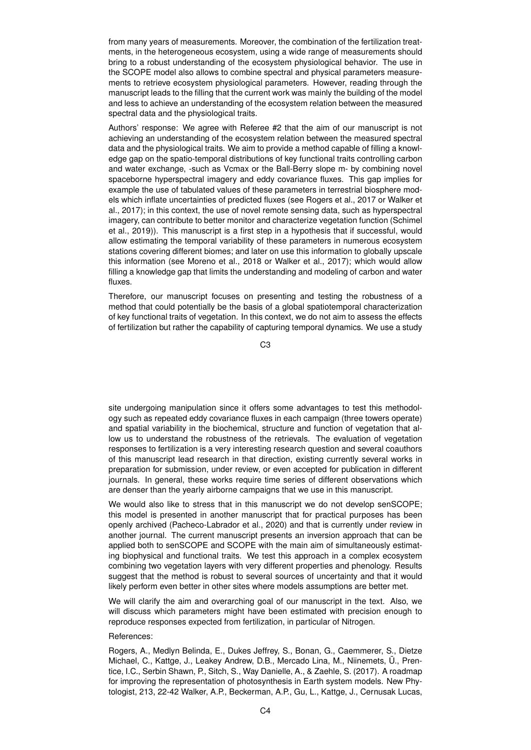from many years of measurements. Moreover, the combination of the fertilization treatments, in the heterogeneous ecosystem, using a wide range of measurements should bring to a robust understanding of the ecosystem physiological behavior. The use in the SCOPE model also allows to combine spectral and physical parameters measurements to retrieve ecosystem physiological parameters. However, reading through the manuscript leads to the filling that the current work was mainly the building of the model and less to achieve an understanding of the ecosystem relation between the measured spectral data and the physiological traits.

Authors' response: We agree with Referee #2 that the aim of our manuscript is not achieving an understanding of the ecosystem relation between the measured spectral data and the physiological traits. We aim to provide a method capable of filling a knowledge gap on the spatio-temporal distributions of key functional traits controlling carbon and water exchange, -such as Vcmax or the Ball-Berry slope m- by combining novel spaceborne hyperspectral imagery and eddy covariance fluxes. This gap implies for example the use of tabulated values of these parameters in terrestrial biosphere models which inflate uncertainties of predicted fluxes (see Rogers et al., 2017 or Walker et al., 2017); in this context, the use of novel remote sensing data, such as hyperspectral imagery, can contribute to better monitor and characterize vegetation function (Schimel et al., 2019)). This manuscript is a first step in a hypothesis that if successful, would allow estimating the temporal variability of these parameters in numerous ecosystem stations covering different biomes; and later on use this information to globally upscale this information (see Moreno et al., 2018 or Walker et al., 2017); which would allow filling a knowledge gap that limits the understanding and modeling of carbon and water fluxes.

Therefore, our manuscript focuses on presenting and testing the robustness of a method that could potentially be the basis of a global spatiotemporal characterization of key functional traits of vegetation. In this context, we do not aim to assess the effects of fertilization but rather the capability of capturing temporal dynamics. We use a study

C3

site undergoing manipulation since it offers some advantages to test this methodology such as repeated eddy covariance fluxes in each campaign (three towers operate) and spatial variability in the biochemical, structure and function of vegetation that allow us to understand the robustness of the retrievals. The evaluation of vegetation responses to fertilization is a very interesting research question and several coauthors of this manuscript lead research in that direction, existing currently several works in preparation for submission, under review, or even accepted for publication in different journals. In general, these works require time series of different observations which are denser than the yearly airborne campaigns that we use in this manuscript.

We would also like to stress that in this manuscript we do not develop senSCOPE; this model is presented in another manuscript that for practical purposes has been openly archived (Pacheco-Labrador et al., 2020) and that is currently under review in another journal. The current manuscript presents an inversion approach that can be applied both to senSCOPE and SCOPE with the main aim of simultaneously estimating biophysical and functional traits. We test this approach in a complex ecosystem combining two vegetation layers with very different properties and phenology. Results suggest that the method is robust to several sources of uncertainty and that it would likely perform even better in other sites where models assumptions are better met.

We will clarify the aim and overarching goal of our manuscript in the text. Also, we will discuss which parameters might have been estimated with precision enough to reproduce responses expected from fertilization, in particular of Nitrogen.

## References:

Rogers, A., Medlyn Belinda, E., Dukes Jeffrey, S., Bonan, G., Caemmerer, S., Dietze Michael, C., Kattge, J., Leakey Andrew, D.B., Mercado Lina, M., Niinemets, Ü., Prentice, I.C., Serbin Shawn, P., Sitch, S., Way Danielle, A., & Zaehle, S. (2017). A roadmap for improving the representation of photosynthesis in Earth system models. New Phytologist, 213, 22-42 Walker, A.P., Beckerman, A.P., Gu, L., Kattge, J., Cernusak Lucas,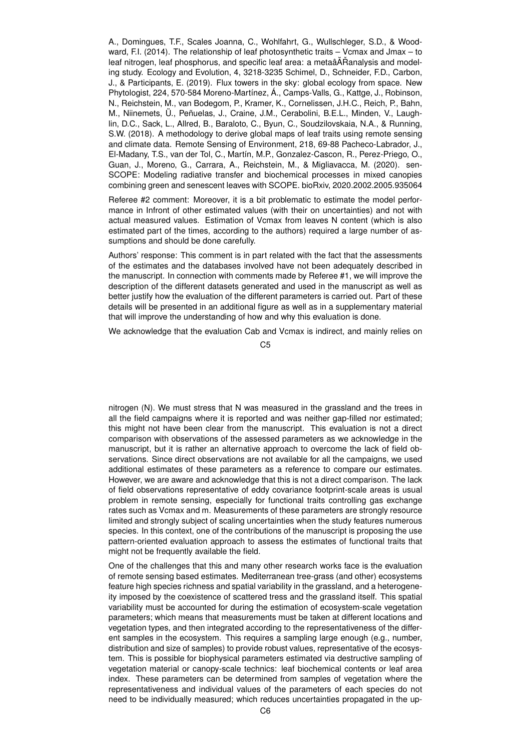A., Domingues, T.F., Scales Joanna, C., Wohlfahrt, G., Wullschleger, S.D., & Woodward, F.I. (2014). The relationship of leaf photosynthetic traits – Vcmax and Jmax – to leaf nitrogen, leaf phosphorus, and specific leaf area: a metaâ $\tilde{A}$ Ranalysis and modeling study. Ecology and Evolution, 4, 3218-3235 Schimel, D., Schneider, F.D., Carbon, J., & Participants, E. (2019). Flux towers in the sky: global ecology from space. New Phytologist, 224, 570-584 Moreno-Martínez, Á., Camps-Valls, G., Kattge, J., Robinson, N., Reichstein, M., van Bodegom, P., Kramer, K., Cornelissen, J.H.C., Reich, P., Bahn, M., Niinemets, Ü., Peñuelas, J., Craine, J.M., Cerabolini, B.E.L., Minden, V., Laughlin, D.C., Sack, L., Allred, B., Baraloto, C., Byun, C., Soudzilovskaia, N.A., & Running, S.W. (2018). A methodology to derive global maps of leaf traits using remote sensing and climate data. Remote Sensing of Environment, 218, 69-88 Pacheco-Labrador, J., El-Madany, T.S., van der Tol, C., Martín, M.P., Gonzalez-Cascon, R., Perez-Priego, O., Guan, J., Moreno, G., Carrara, A., Reichstein, M., & Migliavacca, M. (2020). sen-SCOPE: Modeling radiative transfer and biochemical processes in mixed canopies combining green and senescent leaves with SCOPE. bioRxiv, 2020.2002.2005.935064

Referee #2 comment: Moreover, it is a bit problematic to estimate the model performance in Infront of other estimated values (with their on uncertainties) and not with actual measured values. Estimation of Vcmax from leaves N content (which is also estimated part of the times, according to the authors) required a large number of assumptions and should be done carefully.

Authors' response: This comment is in part related with the fact that the assessments of the estimates and the databases involved have not been adequately described in the manuscript. In connection with comments made by Referee #1, we will improve the description of the different datasets generated and used in the manuscript as well as better justify how the evaluation of the different parameters is carried out. Part of these details will be presented in an additional figure as well as in a supplementary material that will improve the understanding of how and why this evaluation is done.

We acknowledge that the evaluation Cab and Vcmax is indirect, and mainly relies on

C5

nitrogen (N). We must stress that N was measured in the grassland and the trees in all the field campaigns where it is reported and was neither gap-filled nor estimated; this might not have been clear from the manuscript. This evaluation is not a direct comparison with observations of the assessed parameters as we acknowledge in the manuscript, but it is rather an alternative approach to overcome the lack of field observations. Since direct observations are not available for all the campaigns, we used additional estimates of these parameters as a reference to compare our estimates. However, we are aware and acknowledge that this is not a direct comparison. The lack of field observations representative of eddy covariance footprint-scale areas is usual problem in remote sensing, especially for functional traits controlling gas exchange rates such as Vcmax and m. Measurements of these parameters are strongly resource limited and strongly subject of scaling uncertainties when the study features numerous species. In this context, one of the contributions of the manuscript is proposing the use pattern-oriented evaluation approach to assess the estimates of functional traits that might not be frequently available the field.

One of the challenges that this and many other research works face is the evaluation of remote sensing based estimates. Mediterranean tree-grass (and other) ecosystems feature high species richness and spatial variability in the grassland, and a heterogeneity imposed by the coexistence of scattered tress and the grassland itself. This spatial variability must be accounted for during the estimation of ecosystem-scale vegetation parameters; which means that measurements must be taken at different locations and vegetation types, and then integrated according to the representativeness of the different samples in the ecosystem. This requires a sampling large enough (e.g., number, distribution and size of samples) to provide robust values, representative of the ecosystem. This is possible for biophysical parameters estimated via destructive sampling of vegetation material or canopy-scale technics: leaf biochemical contents or leaf area index. These parameters can be determined from samples of vegetation where the representativeness and individual values of the parameters of each species do not need to be individually measured; which reduces uncertainties propagated in the up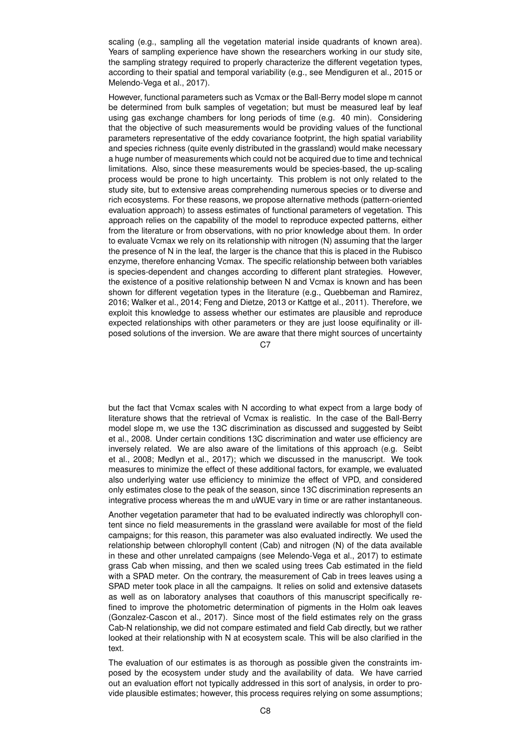scaling (e.g., sampling all the vegetation material inside quadrants of known area). Years of sampling experience have shown the researchers working in our study site, the sampling strategy required to properly characterize the different vegetation types, according to their spatial and temporal variability (e.g., see Mendiguren et al., 2015 or Melendo-Vega et al., 2017).

However, functional parameters such as Vcmax or the Ball-Berry model slope m cannot be determined from bulk samples of vegetation; but must be measured leaf by leaf using gas exchange chambers for long periods of time (e.g. 40 min). Considering that the objective of such measurements would be providing values of the functional parameters representative of the eddy covariance footprint, the high spatial variability and species richness (quite evenly distributed in the grassland) would make necessary a huge number of measurements which could not be acquired due to time and technical limitations. Also, since these measurements would be species-based, the up-scaling process would be prone to high uncertainty. This problem is not only related to the study site, but to extensive areas comprehending numerous species or to diverse and rich ecosystems. For these reasons, we propose alternative methods (pattern-oriented evaluation approach) to assess estimates of functional parameters of vegetation. This approach relies on the capability of the model to reproduce expected patterns, either from the literature or from observations, with no prior knowledge about them. In order to evaluate Vcmax we rely on its relationship with nitrogen (N) assuming that the larger the presence of N in the leaf, the larger is the chance that this is placed in the Rubisco enzyme, therefore enhancing Vcmax. The specific relationship between both variables is species-dependent and changes according to different plant strategies. However, the existence of a positive relationship between N and Vcmax is known and has been shown for different vegetation types in the literature (e.g., Quebbeman and Ramirez, 2016; Walker et al., 2014; Feng and Dietze, 2013 or Kattge et al., 2011). Therefore, we exploit this knowledge to assess whether our estimates are plausible and reproduce expected relationships with other parameters or they are just loose equifinality or illposed solutions of the inversion. We are aware that there might sources of uncertainty

 $C.7$ 

but the fact that Vcmax scales with N according to what expect from a large body of literature shows that the retrieval of Vcmax is realistic. In the case of the Ball-Berry model slope m, we use the 13C discrimination as discussed and suggested by Seibt et al., 2008. Under certain conditions 13C discrimination and water use efficiency are inversely related. We are also aware of the limitations of this approach (e.g. Seibt et al., 2008; Medlyn et al., 2017); which we discussed in the manuscript. We took measures to minimize the effect of these additional factors, for example, we evaluated also underlying water use efficiency to minimize the effect of VPD, and considered only estimates close to the peak of the season, since 13C discrimination represents an integrative process whereas the m and uWUE vary in time or are rather instantaneous.

Another vegetation parameter that had to be evaluated indirectly was chlorophyll content since no field measurements in the grassland were available for most of the field campaigns; for this reason, this parameter was also evaluated indirectly. We used the relationship between chlorophyll content (Cab) and nitrogen (N) of the data available in these and other unrelated campaigns (see Melendo-Vega et al., 2017) to estimate grass Cab when missing, and then we scaled using trees Cab estimated in the field with a SPAD meter. On the contrary, the measurement of Cab in trees leaves using a SPAD meter took place in all the campaigns. It relies on solid and extensive datasets as well as on laboratory analyses that coauthors of this manuscript specifically refined to improve the photometric determination of pigments in the Holm oak leaves (Gonzalez-Cascon et al., 2017). Since most of the field estimates rely on the grass Cab-N relationship, we did not compare estimated and field Cab directly, but we rather looked at their relationship with N at ecosystem scale. This will be also clarified in the text.

The evaluation of our estimates is as thorough as possible given the constraints imposed by the ecosystem under study and the availability of data. We have carried out an evaluation effort not typically addressed in this sort of analysis, in order to provide plausible estimates; however, this process requires relying on some assumptions;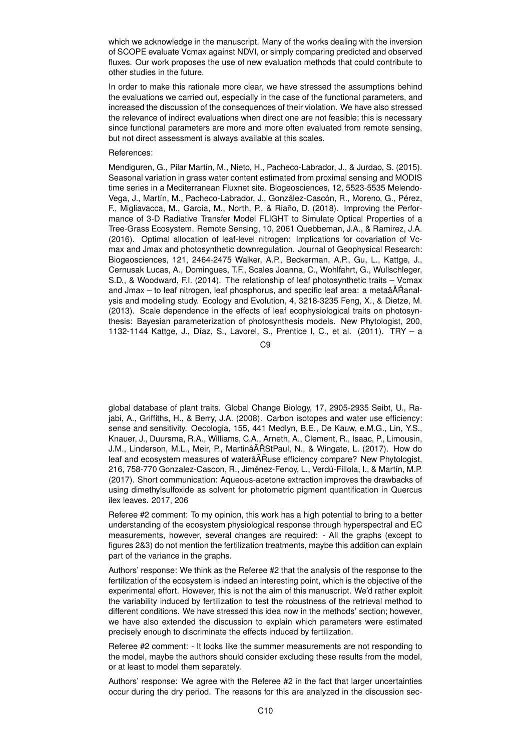which we acknowledge in the manuscript. Many of the works dealing with the inversion of SCOPE evaluate Vcmax against NDVI, or simply comparing predicted and observed fluxes. Our work proposes the use of new evaluation methods that could contribute to other studies in the future.

In order to make this rationale more clear, we have stressed the assumptions behind the evaluations we carried out, especially in the case of the functional parameters, and increased the discussion of the consequences of their violation. We have also stressed the relevance of indirect evaluations when direct one are not feasible; this is necessary since functional parameters are more and more often evaluated from remote sensing, but not direct assessment is always available at this scales.

## References:

Mendiguren, G., Pilar Martín, M., Nieto, H., Pacheco-Labrador, J., & Jurdao, S. (2015). Seasonal variation in grass water content estimated from proximal sensing and MODIS time series in a Mediterranean Fluxnet site. Biogeosciences, 12, 5523-5535 Melendo-Vega, J., Martín, M., Pacheco-Labrador, J., González-Cascón, R., Moreno, G., Pérez, F., Migliavacca, M., García, M., North, P., & Riaño, D. (2018). Improving the Performance of 3-D Radiative Transfer Model FLIGHT to Simulate Optical Properties of a Tree-Grass Ecosystem. Remote Sensing, 10, 2061 Quebbeman, J.A., & Ramirez, J.A. (2016). Optimal allocation of leaf-level nitrogen: Implications for covariation of Vcmax and Jmax and photosynthetic downregulation. Journal of Geophysical Research: Biogeosciences, 121, 2464-2475 Walker, A.P., Beckerman, A.P., Gu, L., Kattge, J., Cernusak Lucas, A., Domingues, T.F., Scales Joanna, C., Wohlfahrt, G., Wullschleger, S.D., & Woodward, F.I. (2014). The relationship of leaf photosynthetic traits – Vcmax and Jmax – to leaf nitrogen, leaf phosphorus, and specific leaf area: a metaâĂŘanalysis and modeling study. Ecology and Evolution, 4, 3218-3235 Feng, X., & Dietze, M. (2013). Scale dependence in the effects of leaf ecophysiological traits on photosynthesis: Bayesian parameterization of photosynthesis models. New Phytologist, 200, 1132-1144 Kattge, J., Díaz, S., Lavorel, S., Prentice I, C., et al. (2011). TRY – a

 $C9$ 

global database of plant traits. Global Change Biology, 17, 2905-2935 Seibt, U., Rajabi, A., Griffiths, H., & Berry, J.A. (2008). Carbon isotopes and water use efficiency: sense and sensitivity. Oecologia, 155, 441 Medlyn, B.E., De Kauw, e.M.G., Lin, Y.S., Knauer, J., Duursma, R.A., Williams, C.A., Arneth, A., Clement, R., Isaac, P., Limousin, J.M., Linderson, M.L., Meir, P., MartinâĂŘStPaul, N., & Wingate, L. (2017). How do leaf and ecosystem measures of waterâĂŘuse efficiency compare? New Phytologist, 216, 758-770 Gonzalez-Cascon, R., Jiménez-Fenoy, L., Verdú-Fillola, I., & Martín, M.P. (2017). Short communication: Aqueous-acetone extraction improves the drawbacks of using dimethylsulfoxide as solvent for photometric pigment quantification in Quercus ilex leaves. 2017, 206

Referee #2 comment: To my opinion, this work has a high potential to bring to a better understanding of the ecosystem physiological response through hyperspectral and EC measurements, however, several changes are required: - All the graphs (except to figures 2&3) do not mention the fertilization treatments, maybe this addition can explain part of the variance in the graphs.

Authors' response: We think as the Referee #2 that the analysis of the response to the fertilization of the ecosystem is indeed an interesting point, which is the objective of the experimental effort. However, this is not the aim of this manuscript. We'd rather exploit the variability induced by fertilization to test the robustness of the retrieval method to different conditions. We have stressed this idea now in the methods' section; however, we have also extended the discussion to explain which parameters were estimated precisely enough to discriminate the effects induced by fertilization.

Referee #2 comment: - It looks like the summer measurements are not responding to the model, maybe the authors should consider excluding these results from the model, or at least to model them separately.

Authors' response: We agree with the Referee #2 in the fact that larger uncertainties occur during the dry period. The reasons for this are analyzed in the discussion sec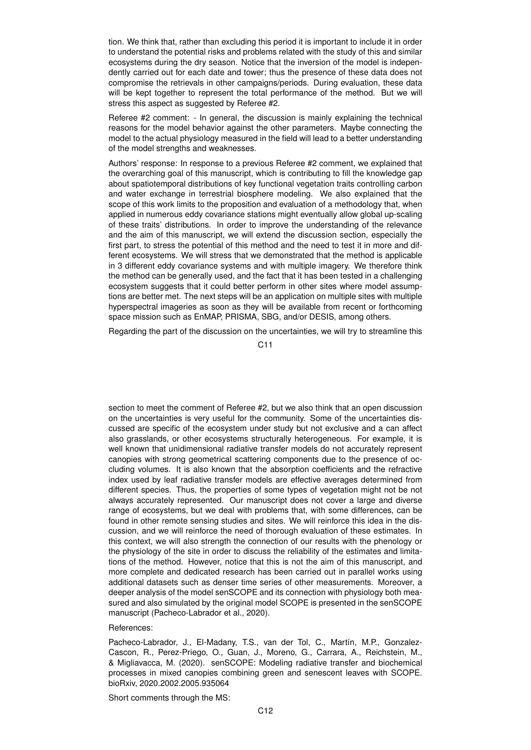tion. We think that, rather than excluding this period it is important to include it in order to understand the potential risks and problems related with the study of this and similar ecosystems during the dry season. Notice that the inversion of the model is independently carried out for each date and tower; thus the presence of these data does not compromise the retrievals in other campaigns/periods. During evaluation, these data will be kept together to represent the total performance of the method. But we will stress this aspect as suggested by Referee #2.

Referee #2 comment: - In general, the discussion is mainly explaining the technical reasons for the model behavior against the other parameters. Maybe connecting the model to the actual physiology measured in the field will lead to a better understanding of the model strengths and weaknesses.

Authors' response: In response to a previous Referee #2 comment, we explained that the overarching goal of this manuscript, which is contributing to fill the knowledge gap about spatiotemporal distributions of key functional vegetation traits controlling carbon and water exchange in terrestrial biosphere modeling. We also explained that the scope of this work limits to the proposition and evaluation of a methodology that, when applied in numerous eddy covariance stations might eventually allow global up-scaling of these traits' distributions. In order to improve the understanding of the relevance and the aim of this manuscript, we will extend the discussion section, especially the first part, to stress the potential of this method and the need to test it in more and different ecosystems. We will stress that we demonstrated that the method is applicable in 3 different eddy covariance systems and with multiple imagery. We therefore think the method can be generally used, and the fact that it has been tested in a challenging ecosystem suggests that it could better perform in other sites where model assumptions are better met. The next steps will be an application on multiple sites with multiple hyperspectral imageries as soon as they will be available from recent or forthcoming space mission such as EnMAP, PRISMA, SBG, and/or DESIS, among others.

Regarding the part of the discussion on the uncertainties, we will try to streamline this

C11

section to meet the comment of Referee #2, but we also think that an open discussion on the uncertainties is very useful for the community. Some of the uncertainties discussed are specific of the ecosystem under study but not exclusive and a can affect also grasslands, or other ecosystems structurally heterogeneous. For example, it is well known that unidimensional radiative transfer models do not accurately represent canopies with strong geometrical scattering components due to the presence of occluding volumes. It is also known that the absorption coefficients and the refractive index used by leaf radiative transfer models are effective averages determined from different species. Thus, the properties of some types of vegetation might not be not always accurately represented. Our manuscript does not cover a large and diverse range of ecosystems, but we deal with problems that, with some differences, can be found in other remote sensing studies and sites. We will reinforce this idea in the discussion, and we will reinforce the need of thorough evaluation of these estimates. In this context, we will also strength the connection of our results with the phenology or the physiology of the site in order to discuss the reliability of the estimates and limitations of the method. However, notice that this is not the aim of this manuscript, and more complete and dedicated research has been carried out in parallel works using additional datasets such as denser time series of other measurements. Moreover, a deeper analysis of the model senSCOPE and its connection with physiology both measured and also simulated by the original model SCOPE is presented in the senSCOPE manuscript (Pacheco-Labrador et al., 2020).

## References:

Pacheco-Labrador, J., El-Madany, T.S., van der Tol, C., Martín, M.P., Gonzalez-Cascon, R., Perez-Priego, O., Guan, J., Moreno, G., Carrara, A., Reichstein, M., & Migliavacca, M. (2020). senSCOPE: Modeling radiative transfer and biochemical processes in mixed canopies combining green and senescent leaves with SCOPE. bioRxiv, 2020.2002.2005.935064

Short comments through the MS: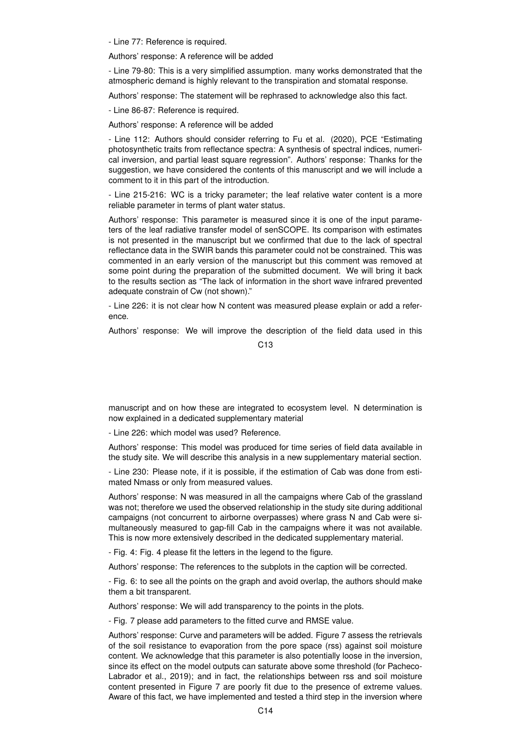- Line 77: Reference is required.

Authors' response: A reference will be added

- Line 79-80: This is a very simplified assumption. many works demonstrated that the atmospheric demand is highly relevant to the transpiration and stomatal response.

Authors' response: The statement will be rephrased to acknowledge also this fact.

- Line 86-87: Reference is required.

Authors' response: A reference will be added

- Line 112: Authors should consider referring to Fu et al. (2020), PCE "Estimating photosynthetic traits from reflectance spectra: A synthesis of spectral indices, numerical inversion, and partial least square regression". Authors' response: Thanks for the suggestion, we have considered the contents of this manuscript and we will include a comment to it in this part of the introduction.

- Line 215-216: WC is a tricky parameter; the leaf relative water content is a more reliable parameter in terms of plant water status.

Authors' response: This parameter is measured since it is one of the input parameters of the leaf radiative transfer model of senSCOPE. Its comparison with estimates is not presented in the manuscript but we confirmed that due to the lack of spectral reflectance data in the SWIR bands this parameter could not be constrained. This was commented in an early version of the manuscript but this comment was removed at some point during the preparation of the submitted document. We will bring it back to the results section as "The lack of information in the short wave infrared prevented adequate constrain of Cw (not shown)."

- Line 226: it is not clear how N content was measured please explain or add a reference.

Authors' response: We will improve the description of the field data used in this

 $C<sub>13</sub>$ 

manuscript and on how these are integrated to ecosystem level. N determination is now explained in a dedicated supplementary material

- Line 226: which model was used? Reference.

Authors' response: This model was produced for time series of field data available in the study site. We will describe this analysis in a new supplementary material section.

- Line 230: Please note, if it is possible, if the estimation of Cab was done from estimated Nmass or only from measured values.

Authors' response: N was measured in all the campaigns where Cab of the grassland was not; therefore we used the observed relationship in the study site during additional campaigns (not concurrent to airborne overpasses) where grass N and Cab were simultaneously measured to gap-fill Cab in the campaigns where it was not available. This is now more extensively described in the dedicated supplementary material.

- Fig. 4: Fig. 4 please fit the letters in the legend to the figure.

Authors' response: The references to the subplots in the caption will be corrected.

- Fig. 6: to see all the points on the graph and avoid overlap, the authors should make them a bit transparent.

Authors' response: We will add transparency to the points in the plots.

- Fig. 7 please add parameters to the fitted curve and RMSE value.

Authors' response: Curve and parameters will be added. Figure 7 assess the retrievals of the soil resistance to evaporation from the pore space (rss) against soil moisture content. We acknowledge that this parameter is also potentially loose in the inversion, since its effect on the model outputs can saturate above some threshold (for Pacheco-Labrador et al., 2019); and in fact, the relationships between rss and soil moisture content presented in Figure 7 are poorly fit due to the presence of extreme values. Aware of this fact, we have implemented and tested a third step in the inversion where